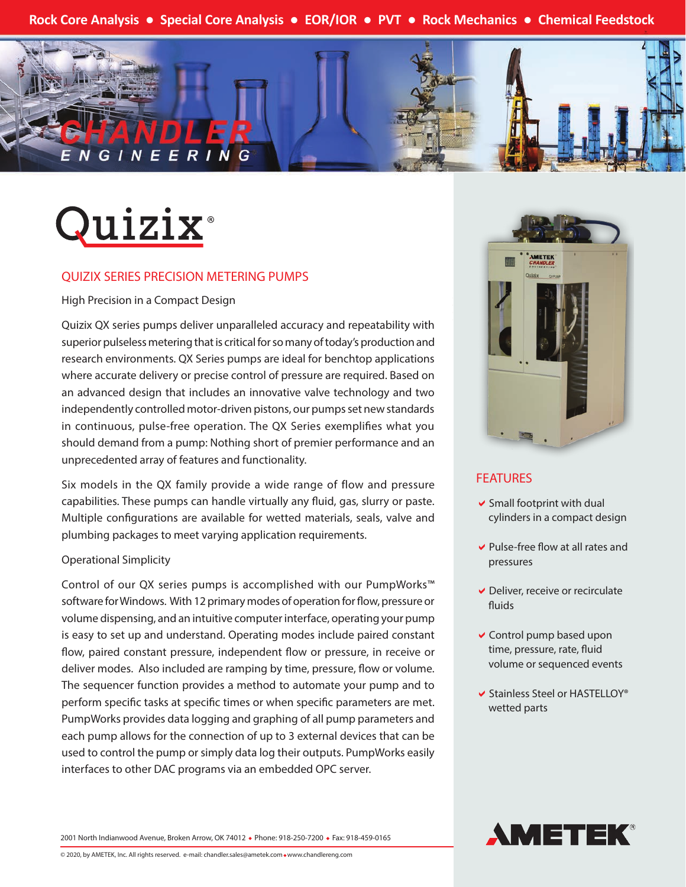**Rock Core Analysis ● Special Core Analysis ● EOR/IOR ● PVT ● Rock Mechanics ● Chemical Feedstock**





### QUIZIX SERIES PRECISION METERING PUMPS

High Precision in a Compact Design

Quizix QX series pumps deliver unparalleled accuracy and repeatability with superior pulseless metering that is critical for so many of today's production and research environments. QX Series pumps are ideal for benchtop applications where accurate delivery or precise control of pressure are required. Based on an advanced design that includes an innovative valve technology and two independently controlled motor-driven pistons, our pumps set new standards in continuous, pulse-free operation. The QX Series exemplifies what you should demand from a pump: Nothing short of premier performance and an unprecedented array of features and functionality.

Six models in the QX family provide a wide range of flow and pressure capabilities. These pumps can handle virtually any fluid, gas, slurry or paste. Multiple configurations are available for wetted materials, seals, valve and plumbing packages to meet varying application requirements.

#### Operational Simplicity

Control of our QX series pumps is accomplished with our PumpWorks™ software for Windows. With 12 primary modes of operation for flow, pressure or volume dispensing, and an intuitive computer interface, operating your pump is easy to set up and understand. Operating modes include paired constant flow, paired constant pressure, independent flow or pressure, in receive or deliver modes. Also included are ramping by time, pressure, flow or volume. The sequencer function provides a method to automate your pump and to perform specific tasks at specific times or when specific parameters are met. PumpWorks provides data logging and graphing of all pump parameters and each pump allows for the connection of up to 3 external devices that can be used to control the pump or simply data log their outputs. PumpWorks easily interfaces to other DAC programs via an embedded OPC server.



## **FEATURES**

- $\vee$  Small footprint with dual cylinders in a compact design
- $\vee$  Pulse-free flow at all rates and pressures
- $\vee$  Deliver, receive or recirculate fluids
- $\vee$  Control pump based upon time, pressure, rate, fluid volume or sequenced events
- $\blacktriangleright$  Stainless Steel or HASTELLOY® wetted parts



2001 North Indianwood Avenue, Broken Arrow, OK 74012 • Phone: 918-250-7200 • Fax: 918-459-0165